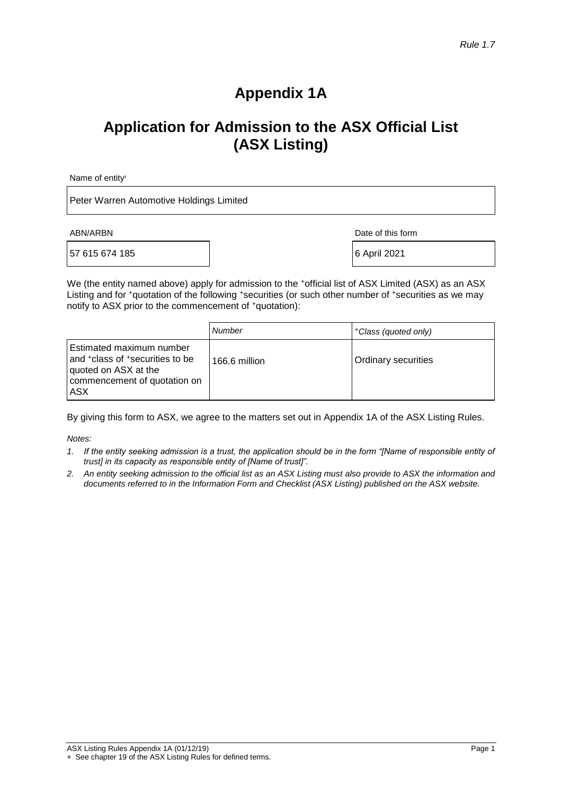# **Appendix 1A**

# **Application for Admission to the ASX Official List (ASX Listing)**

Name of entity<sup>1</sup>

Peter Warren Automotive Holdings Limited

57 615 674 185 6 April 2021

ABN/ARBN Date of this form

We (the entity named above) apply for admission to the +official list of ASX Limited (ASX) as an ASX Listing and for +quotation of the following +securities (or such other number of +securities as we may notify to ASX prior to the commencement of <sup>+</sup>quotation):

|                                                                                                                                        | Number        | +Class (quoted only) |
|----------------------------------------------------------------------------------------------------------------------------------------|---------------|----------------------|
| Estimated maximum number<br>and <sup>+</sup> class of +securities to be<br>quoted on ASX at the<br>commencement of quotation on<br>ASX | 166.6 million | Ordinary securities  |

By giving this form to ASX, we agree to the matters set out in Appendix 1A of the ASX Listing Rules.

*Notes:*

- *1. If the entity seeking admission is a trust, the application should be in the form "[Name of responsible entity of trust] in its capacity as responsible entity of [Name of trust]".*
- *2. An entity seeking admission to the official list as an ASX Listing must also provide to ASX the information and documents referred to in the Information Form and Checklist (ASX Listing) published on the ASX website.*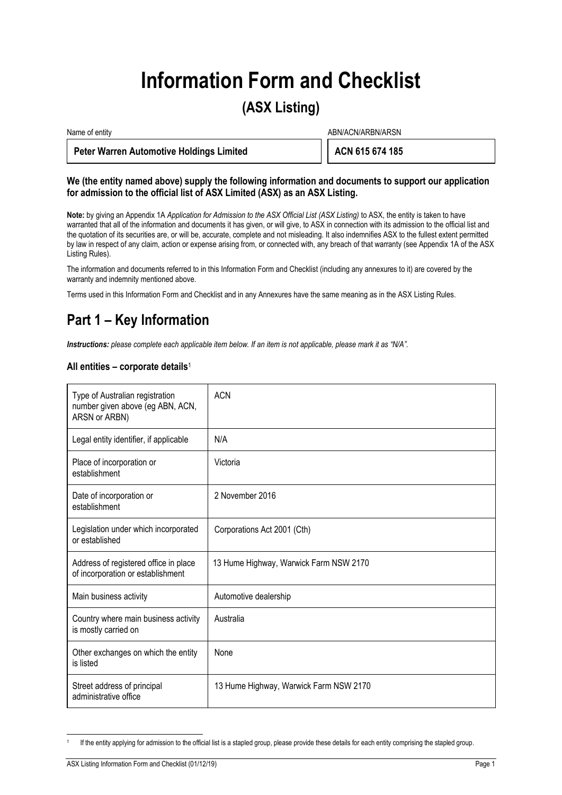# **Information Form and Checklist**

# **(ASX Listing)**

| Name of entity                                  | ABN/ACN/ARBN/ARSN |
|-------------------------------------------------|-------------------|
| <b>Peter Warren Automotive Holdings Limited</b> | ACN 615 674 185   |

### **We (the entity named above) supply the following information and documents to support our application for admission to the official list of ASX Limited (ASX) as an ASX Listing.**

**Note:** by giving an Appendix 1A *Application for Admission to the ASX Official List (ASX Listing)* to ASX, the entity is taken to have warranted that all of the information and documents it has given, or will give, to ASX in connection with its admission to the official list and the quotation of its securities are, or will be, accurate, complete and not misleading. It also indemnifies ASX to the fullest extent permitted by law in respect of any claim, action or expense arising from, or connected with, any breach of that warranty (see Appendix 1A of the ASX Listing Rules).

The information and documents referred to in this Information Form and Checklist (including any annexures to it) are covered by the warranty and indemnity mentioned above.

Terms used in this Information Form and Checklist and in any Annexures have the same meaning as in the ASX Listing Rules.

# **Part 1 – Key Information**

*Instructions: please complete each applicable item below. If an item is not applicable, please mark it as "N/A".*

### **All entities – corporate details**<sup>1</sup>

| Type of Australian registration<br>number given above (eg ABN, ACN,<br>ARSN or ARBN) | <b>ACN</b>                             |
|--------------------------------------------------------------------------------------|----------------------------------------|
| Legal entity identifier, if applicable                                               | N/A                                    |
| Place of incorporation or<br>establishment                                           | Victoria                               |
| Date of incorporation or<br>establishment                                            | 2 November 2016                        |
| Legislation under which incorporated<br>or established                               | Corporations Act 2001 (Cth)            |
| Address of registered office in place<br>of incorporation or establishment           | 13 Hume Highway, Warwick Farm NSW 2170 |
| Main business activity                                                               | Automotive dealership                  |
| Country where main business activity<br>is mostly carried on                         | Australia                              |
| Other exchanges on which the entity<br>is listed                                     | None                                   |
| Street address of principal<br>administrative office                                 | 13 Hume Highway, Warwick Farm NSW 2170 |

<sup>1</sup> If the entity applying for admission to the official list is a stapled group, please provide these details for each entity comprising the stapled group.

j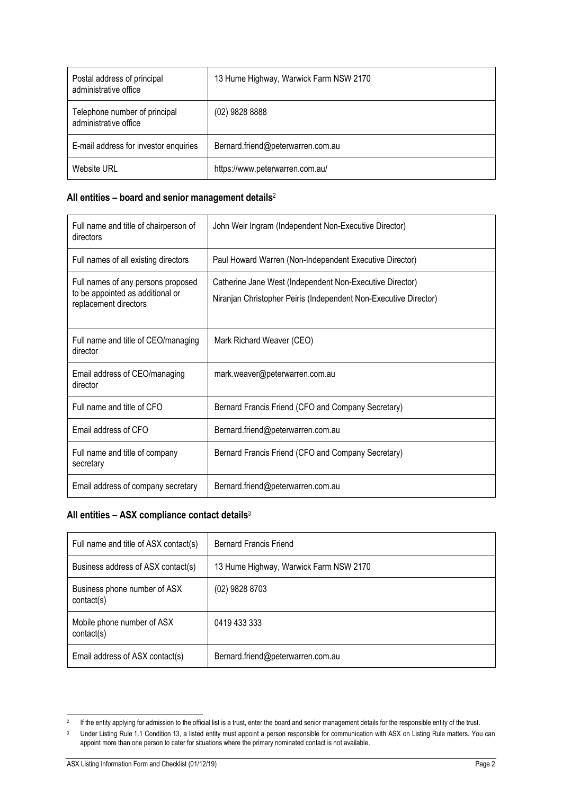| Postal address of principal<br>administrative office   | 13 Hume Highway, Warwick Farm NSW 2170 |
|--------------------------------------------------------|----------------------------------------|
| Telephone number of principal<br>administrative office | $(02)$ 9828 8888                       |
| E-mail address for investor enquiries                  | Bernard.friend@peterwarren.com.au      |
| Website URL                                            | https://www.peterwarren.com.au/        |

### **All entities – board and senior management details**<sup>2</sup>

| Full name and title of chairperson of<br>directors                                              | John Weir Ingram (Independent Non-Executive Director)                                                                        |
|-------------------------------------------------------------------------------------------------|------------------------------------------------------------------------------------------------------------------------------|
| Full names of all existing directors                                                            | Paul Howard Warren (Non-Independent Executive Director)                                                                      |
| Full names of any persons proposed<br>to be appointed as additional or<br>replacement directors | Catherine Jane West (Independent Non-Executive Director)<br>Niranjan Christopher Peiris (Independent Non-Executive Director) |
| Full name and title of CEO/managing<br>director                                                 | Mark Richard Weaver (CEO)                                                                                                    |
| Email address of CEO/managing<br>director                                                       | mark.weaver@peterwarren.com.au                                                                                               |
| Full name and title of CFO                                                                      | Bernard Francis Friend (CFO and Company Secretary)                                                                           |
| Email address of CFO                                                                            | Bernard.friend@peterwarren.com.au                                                                                            |
| Full name and title of company<br>secretary                                                     | Bernard Francis Friend (CFO and Company Secretary)                                                                           |
| Email address of company secretary                                                              | Bernard.friend@peterwarren.com.au                                                                                            |

### **All entities – ASX compliance contact details**<sup>3</sup>

| Full name and title of ASX contact(s)      | <b>Bernard Francis Friend</b>          |
|--------------------------------------------|----------------------------------------|
| Business address of ASX contact(s)         | 13 Hume Highway, Warwick Farm NSW 2170 |
| Business phone number of ASX<br>contact(s) | (02) 9828 8703                         |
| Mobile phone number of ASX<br>contact(s)   | 0419 433 333                           |
| Email address of ASX contact(s)            | Bernard.friend@peterwarren.com.au      |

 2 If the entity applying for admission to the official list is a trust, enter the board and senior management details for the responsible entity of the trust.

<sup>&</sup>lt;sup>3</sup> Under Listing Rule 1.1 Condition 13, a listed entity must appoint a person responsible for communication with ASX on Listing Rule matters. You can appoint more than one person to cater for situations where the primary nominated contact is not available.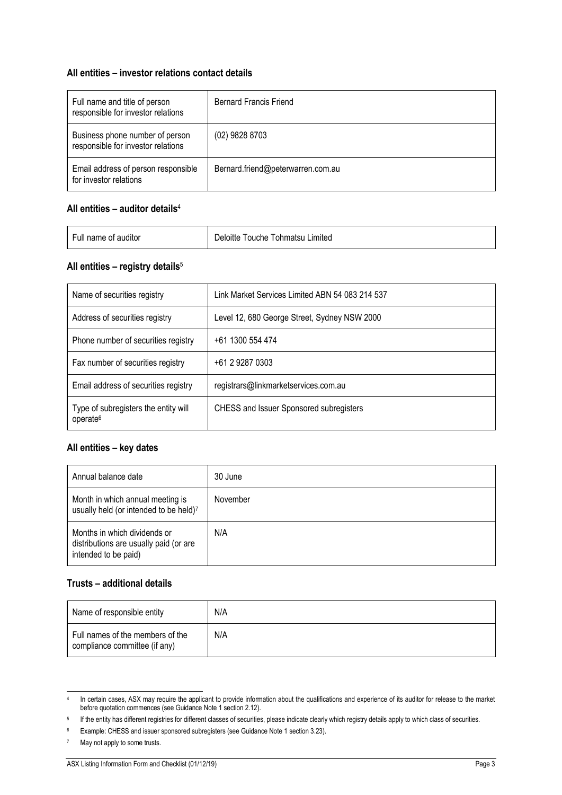### **All entities – investor relations contact details**

| Full name and title of person<br>responsible for investor relations   | <b>Bernard Francis Friend</b>     |
|-----------------------------------------------------------------------|-----------------------------------|
| Business phone number of person<br>responsible for investor relations | (02) 9828 8703                    |
| Email address of person responsible<br>for investor relations         | Bernard.friend@peterwarren.com.au |

### **All entities – auditor details**<sup>4</sup>

| Full name of auditor | Deloitte Touche Tohmatsu Limited |
|----------------------|----------------------------------|
|                      |                                  |

### **All entities – registry details**<sup>5</sup>

| Name of securities registry                                  | Link Market Services Limited ABN 54 083 214 537 |
|--------------------------------------------------------------|-------------------------------------------------|
| Address of securities registry                               | Level 12, 680 George Street, Sydney NSW 2000    |
| Phone number of securities registry                          | +61 1300 554 474                                |
| Fax number of securities registry                            | +61 2 9287 0303                                 |
| Email address of securities registry                         | registrars@linkmarketservices.com.au            |
| Type of subregisters the entity will<br>operate <sup>6</sup> | <b>CHESS and Issuer Sponsored subregisters</b>  |

### **All entities – key dates**

| Annual balance date                                                                            | 30 June  |
|------------------------------------------------------------------------------------------------|----------|
| Month in which annual meeting is<br>usually held (or intended to be held)7                     | November |
| Months in which dividends or<br>distributions are usually paid (or are<br>intended to be paid) | N/A      |

### **Trusts – additional details**

| Name of responsible entity                                        | N/A |
|-------------------------------------------------------------------|-----|
| Full names of the members of the<br>compliance committee (if any) | N/A |

 4 In certain cases, ASX may require the applicant to provide information about the qualifications and experience of its auditor for release to the market before quotation commences (see Guidance Note 1 section 2.12).

<sup>5</sup> If the entity has different registries for different classes of securities, please indicate clearly which registry details apply to which class of securities.

<sup>6</sup> Example: CHESS and issuer sponsored subregisters (see Guidance Note 1 section 3.23).

May not apply to some trusts.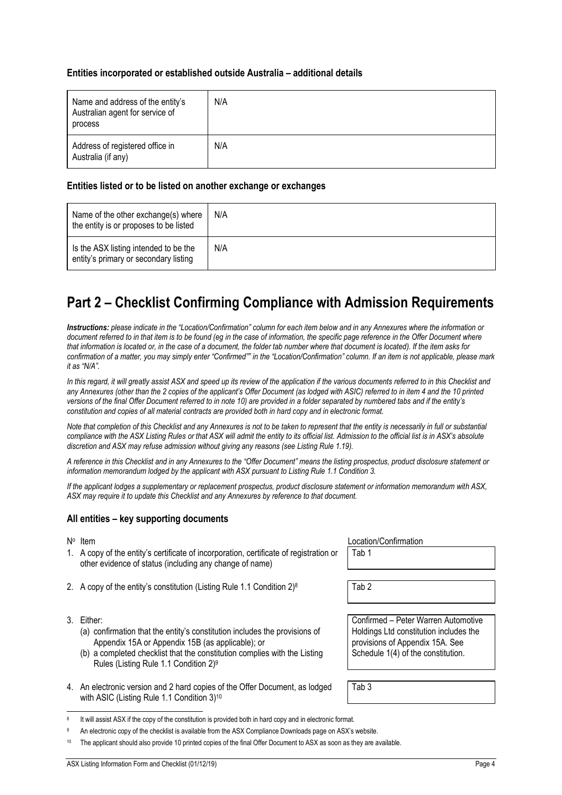### **Entities incorporated or established outside Australia – additional details**

| Name and address of the entity's<br>Australian agent for service of<br>process | N/A |
|--------------------------------------------------------------------------------|-----|
| Address of registered office in<br>Australia (if any)                          | N/A |

### **Entities listed or to be listed on another exchange or exchanges**

| Name of the other exchange(s) where<br>the entity is or proposes to be listed  | N/A |
|--------------------------------------------------------------------------------|-----|
| Is the ASX listing intended to be the<br>entity's primary or secondary listing | N/A |

# **Part 2 – Checklist Confirming Compliance with Admission Requirements**

*Instructions: please indicate in the "Location/Confirmation" column for each item below and in any Annexures where the information or document referred to in that item is to be found (eg in the case of information, the specific page reference in the Offer Document where that information is located or, in the case of a document, the folder tab number where that document is located). If the item asks for confirmation of a matter, you may simply enter "Confirmed"" in the "Location/Confirmation" column. If an item is not applicable, please mark it as "N/A".*

In this regard, it will greatly assist ASX and speed up its review of the application if the various documents referred to in this Checklist and *any Annexures (other than the 2 copies of the applicant's Offer Document (as lodged with ASIC) referred to in item [4](#page-4-0) and the 10 printed versions of the final Offer Document referred to in note [10\)](#page-4-1) are provided in a folder separated by numbered tabs and if the entity's constitution and copies of all material contracts are provided both in hard copy and in electronic format.*

*Note that completion of this Checklist and any Annexures is not to be taken to represent that the entity is necessarily in full or substantial compliance with the ASX Listing Rules or that ASX will admit the entity to its official list. Admission to the official list is in ASX's absolute discretion and ASX may refuse admission without giving any reasons (see Listing Rule 1.19).*

*A reference in this Checklist and in any Annexures to the "Offer Document" means the listing prospectus, product disclosure statement or information memorandum lodged by the applicant with ASX pursuant to Listing Rule 1.1 Condition 3.*

*If the applicant lodges a supplementary or replacement prospectus, product disclosure statement or information memorandum with ASX, ASX may require it to update this Checklist and any Annexures by reference to that document.*

### **All entities – key supporting documents**

N° Item

- 1. A copy of the entity's certificate of incorporation, certificate of registration or other evidence of status (including any change of name)
- 2. A copy of the entity's constitution (Listing Rule 1.1 Condition  $2)^8$
- 3. Either:
	- (a) confirmation that the entity's constitution includes the provisions of Appendix 15A or Appendix 15B (as applicable); or
	- (b) a completed checklist that the constitution complies with the Listing Rules (Listing Rule 1.1 Condition 2)<sup>9</sup>
- <span id="page-4-0"></span>4. An electronic version and 2 hard copies of the Offer Document, as lodged with ASIC (Listing Rule 1.1 Condition 3)<sup>10</sup>

Location/Confirmation

Tab 1

 $\overline{\text{Tab }2}$ 

Confirmed – Peter Warren Automotive Holdings Ltd constitution includes the provisions of Appendix 15A. See Schedule 1(4) of the constitution.

<span id="page-4-1"></span>Tab 3

j 8 It will assist ASX if the copy of the constitution is provided both in hard copy and in electronic format.

An electronic copy of the checklist is available from the ASX Compliance Downloads page on ASX's website.

The applicant should also provide 10 printed copies of the final Offer Document to ASX as soon as they are available.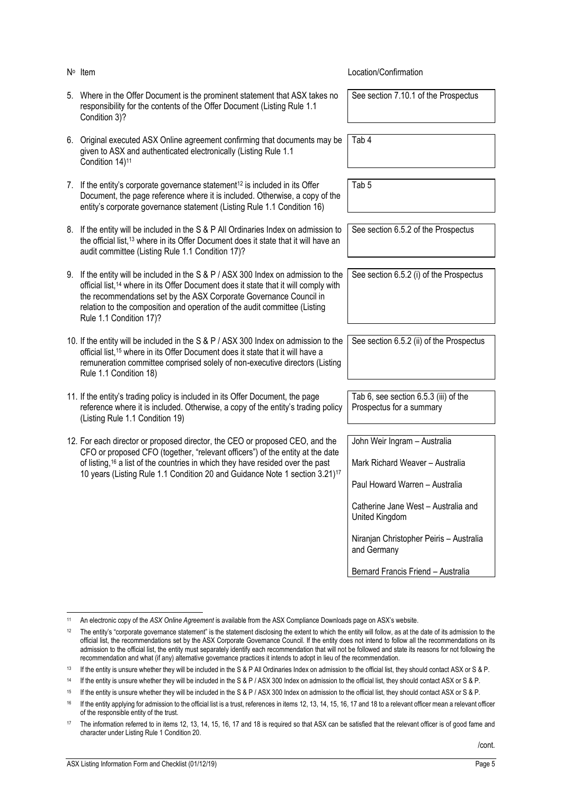<span id="page-5-1"></span>

| N° Item                                                                                                                                                                                                                                                                                                                                                             | Location/Confirmation                                                                                                                                                                                                                                      |
|---------------------------------------------------------------------------------------------------------------------------------------------------------------------------------------------------------------------------------------------------------------------------------------------------------------------------------------------------------------------|------------------------------------------------------------------------------------------------------------------------------------------------------------------------------------------------------------------------------------------------------------|
| 5. Where in the Offer Document is the prominent statement that ASX takes no<br>responsibility for the contents of the Offer Document (Listing Rule 1.1<br>Condition 3)?                                                                                                                                                                                             | See section 7.10.1 of the Prospectus                                                                                                                                                                                                                       |
| 6. Original executed ASX Online agreement confirming that documents may be<br>given to ASX and authenticated electronically (Listing Rule 1.1<br>Condition 14) <sup>11</sup>                                                                                                                                                                                        | Tab 4                                                                                                                                                                                                                                                      |
| 7. If the entity's corporate governance statement <sup>12</sup> is included in its Offer<br>Document, the page reference where it is included. Otherwise, a copy of the<br>entity's corporate governance statement (Listing Rule 1.1 Condition 16)                                                                                                                  | Tab <sub>5</sub>                                                                                                                                                                                                                                           |
| 8. If the entity will be included in the S & P All Ordinaries Index on admission to<br>the official list, <sup>13</sup> where in its Offer Document does it state that it will have an<br>audit committee (Listing Rule 1.1 Condition 17)?                                                                                                                          | See section 6.5.2 of the Prospectus                                                                                                                                                                                                                        |
| 9. If the entity will be included in the S & P / ASX 300 Index on admission to the<br>official list, <sup>14</sup> where in its Offer Document does it state that it will comply with<br>the recommendations set by the ASX Corporate Governance Council in<br>relation to the composition and operation of the audit committee (Listing<br>Rule 1.1 Condition 17)? | See section 6.5.2 (i) of the Prospectus                                                                                                                                                                                                                    |
| 10. If the entity will be included in the S & P / ASX 300 Index on admission to the<br>official list, <sup>15</sup> where in its Offer Document does it state that it will have a<br>remuneration committee comprised solely of non-executive directors (Listing<br>Rule 1.1 Condition 18)                                                                          | See section 6.5.2 (ii) of the Prospectus                                                                                                                                                                                                                   |
| 11. If the entity's trading policy is included in its Offer Document, the page<br>reference where it is included. Otherwise, a copy of the entity's trading policy<br>(Listing Rule 1.1 Condition 19)                                                                                                                                                               | Tab 6, see section 6.5.3 (iii) of the<br>Prospectus for a summary                                                                                                                                                                                          |
| 12. For each director or proposed director, the CEO or proposed CEO, and the<br>CFO or proposed CFO (together, "relevant officers") of the entity at the date<br>of listing, <sup>16</sup> a list of the countries in which they have resided over the past<br>10 years (Listing Rule 1.1 Condition 20 and Guidance Note 1 section 3.21) <sup>17</sup>              | John Weir Ingram - Australia<br>Mark Richard Weaver - Australia<br>Paul Howard Warren - Australia<br>Catherine Jane West - Australia and<br>United Kingdom<br>Niranjan Christopher Peiris - Australia<br>and Germany<br>Bernard Francis Friend - Australia |

<span id="page-5-0"></span>j <sup>11</sup> An electronic copy of the *ASX Online Agreement* is available from the ASX Compliance Downloads page on ASX's website.

<sup>&</sup>lt;sup>12</sup> The entity's "corporate governance statement" is the statement disclosing the extent to which the entity will follow, as at the date of its admission to the official list, the recommendations set by the ASX Corporate Governance Council. If the entity does not intend to follow all the recommendations on its admission to the official list, the entity must separately identify each recommendation that will not be followed and state its reasons for not following the recommendation and what (if any) alternative governance practices it intends to adopt in lieu of the recommendation.

<sup>&</sup>lt;sup>13</sup> If the entity is unsure whether they will be included in the S & P All Ordinaries Index on admission to the official list, they should contact ASX or S & P.

<sup>14</sup> If the entity is unsure whether they will be included in the S & P / ASX 300 Index on admission to the official list, they should contact ASX or S & P.

<sup>15</sup> If the entity is unsure whether they will be included in the S & P / ASX 300 Index on admission to the official list, they should contact ASX or S & P.

<sup>&</sup>lt;sup>16</sup> If the entity applying for admission to the official list is a trust, references in items [12,](#page-5-0) [13, 14,](#page-5-1) [15,](#page-6-0) [16,](#page-6-1) [17](#page-6-2) an[d 18](#page-7-0) to a relevant officer mean a relevant officer of the responsible entity of the trust.

<sup>17</sup> The information referred to in items [12,](#page-5-0) [13, 14,](#page-5-1) [15,](#page-6-0) [16,](#page-6-1) [17](#page-6-2) an[d 18](#page-7-0) is required so that ASX can be satisfied that the relevant officer is of good fame and character under Listing Rule 1 Condition 20.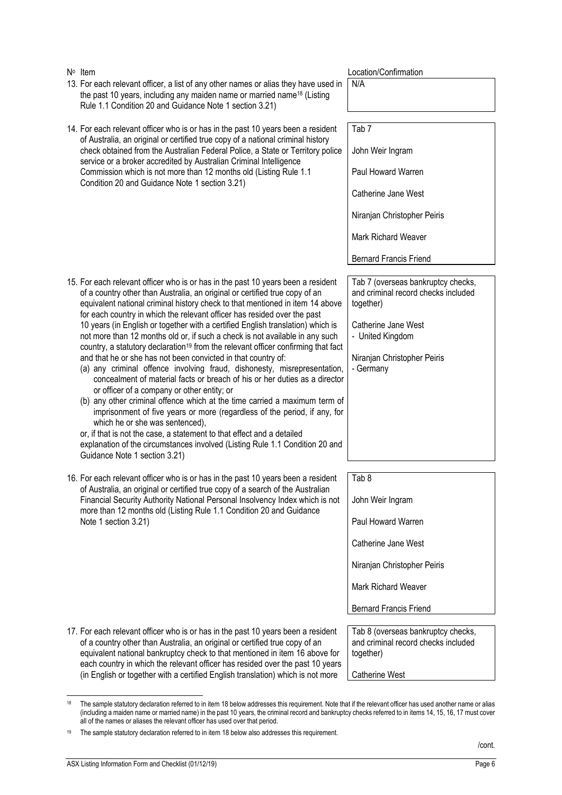<span id="page-6-2"></span><span id="page-6-1"></span>

|    | of a country other than Australia, an original or certified true copy of an                                                                                                                                                                                                                                                                                                                           | and criminal record checks included |
|----|-------------------------------------------------------------------------------------------------------------------------------------------------------------------------------------------------------------------------------------------------------------------------------------------------------------------------------------------------------------------------------------------------------|-------------------------------------|
|    | equivalent national bankruptcy check to that mentioned in item 16 above for<br>each country in which the relevant officer has resided over the past 10 years                                                                                                                                                                                                                                          | together)                           |
|    | (in English or together with a certified English translation) which is not more                                                                                                                                                                                                                                                                                                                       | Catherine West                      |
|    |                                                                                                                                                                                                                                                                                                                                                                                                       |                                     |
| 18 | The sample statutory declaration referred to in item 18 below addresses this requirement. Note that if the relevant officer has used another name or alias<br>(including a maiden name or married name) in the past 10 years, the criminal record and bankruptcy checks referred to in items 14, 15, 16, 17 must cover<br>all of the names or aliases the relevant officer has used over that period. |                                     |
| 19 | The sample statutory declaration referred to in item 18 below also addresses this requirement.                                                                                                                                                                                                                                                                                                        |                                     |
|    |                                                                                                                                                                                                                                                                                                                                                                                                       | /cont.                              |
|    | ASX Listing Information Form and Checklist (01/12/19)                                                                                                                                                                                                                                                                                                                                                 | Page 6                              |
|    |                                                                                                                                                                                                                                                                                                                                                                                                       |                                     |

<span id="page-6-0"></span>

| 14. For each relevant officer who is or has in the past 10 years been a resident<br>of Australia, an original or certified true copy of a national criminal history                                                                                                                                                                                                                                                                                                                                                                                                                                                                                                                                                                                                                                                                                                                                                                                                                                                                                                                                                                                                                                                                                                 | Tab <sub>7</sub>                                                                                                                                                                |
|---------------------------------------------------------------------------------------------------------------------------------------------------------------------------------------------------------------------------------------------------------------------------------------------------------------------------------------------------------------------------------------------------------------------------------------------------------------------------------------------------------------------------------------------------------------------------------------------------------------------------------------------------------------------------------------------------------------------------------------------------------------------------------------------------------------------------------------------------------------------------------------------------------------------------------------------------------------------------------------------------------------------------------------------------------------------------------------------------------------------------------------------------------------------------------------------------------------------------------------------------------------------|---------------------------------------------------------------------------------------------------------------------------------------------------------------------------------|
| check obtained from the Australian Federal Police, a State or Territory police<br>service or a broker accredited by Australian Criminal Intelligence                                                                                                                                                                                                                                                                                                                                                                                                                                                                                                                                                                                                                                                                                                                                                                                                                                                                                                                                                                                                                                                                                                                | John Weir Ingram                                                                                                                                                                |
| Commission which is not more than 12 months old (Listing Rule 1.1<br>Condition 20 and Guidance Note 1 section 3.21)                                                                                                                                                                                                                                                                                                                                                                                                                                                                                                                                                                                                                                                                                                                                                                                                                                                                                                                                                                                                                                                                                                                                                 | Paul Howard Warren                                                                                                                                                              |
|                                                                                                                                                                                                                                                                                                                                                                                                                                                                                                                                                                                                                                                                                                                                                                                                                                                                                                                                                                                                                                                                                                                                                                                                                                                                     | Catherine Jane West                                                                                                                                                             |
|                                                                                                                                                                                                                                                                                                                                                                                                                                                                                                                                                                                                                                                                                                                                                                                                                                                                                                                                                                                                                                                                                                                                                                                                                                                                     | Niranjan Christopher Peiris                                                                                                                                                     |
|                                                                                                                                                                                                                                                                                                                                                                                                                                                                                                                                                                                                                                                                                                                                                                                                                                                                                                                                                                                                                                                                                                                                                                                                                                                                     | <b>Mark Richard Weaver</b>                                                                                                                                                      |
|                                                                                                                                                                                                                                                                                                                                                                                                                                                                                                                                                                                                                                                                                                                                                                                                                                                                                                                                                                                                                                                                                                                                                                                                                                                                     | <b>Bernard Francis Friend</b>                                                                                                                                                   |
| 15. For each relevant officer who is or has in the past 10 years been a resident<br>of a country other than Australia, an original or certified true copy of an<br>equivalent national criminal history check to that mentioned in item 14 above<br>for each country in which the relevant officer has resided over the past<br>10 years (in English or together with a certified English translation) which is<br>not more than 12 months old or, if such a check is not available in any such<br>country, a statutory declaration <sup>19</sup> from the relevant officer confirming that fact<br>and that he or she has not been convicted in that country of:<br>(a) any criminal offence involving fraud, dishonesty, misrepresentation,<br>concealment of material facts or breach of his or her duties as a director<br>or officer of a company or other entity; or<br>(b) any other criminal offence which at the time carried a maximum term of<br>imprisonment of five years or more (regardless of the period, if any, for<br>which he or she was sentenced),<br>or, if that is not the case, a statement to that effect and a detailed<br>explanation of the circumstances involved (Listing Rule 1.1 Condition 20 and<br>Guidance Note 1 section 3.21) | Tab 7 (overseas bankruptcy checks,<br>and criminal record checks included<br>together)<br>Catherine Jane West<br>- United Kingdom<br>Niranjan Christopher Peiris<br>- Germany   |
| 16. For each relevant officer who is or has in the past 10 years been a resident<br>of Australia, an original or certified true copy of a search of the Australian<br>Financial Security Authority National Personal Insolvency Index which is not<br>more than 12 months old (Listing Rule 1.1 Condition 20 and Guidance<br>Note 1 section 3.21)                                                                                                                                                                                                                                                                                                                                                                                                                                                                                                                                                                                                                                                                                                                                                                                                                                                                                                                   | Tab <sub>8</sub><br>John Weir Ingram<br>Paul Howard Warren<br>Catherine Jane West<br>Niranjan Christopher Peiris<br><b>Mark Richard Weaver</b><br><b>Bernard Francis Friend</b> |
| 17. For each relevant officer who is or has in the past 10 years been a resident<br>of a country other than Australia, an original or certified true copy of an<br>oquivalent patienal bankruptev sheek to that mentioned in item 16 above for                                                                                                                                                                                                                                                                                                                                                                                                                                                                                                                                                                                                                                                                                                                                                                                                                                                                                                                                                                                                                      | Tab 8 (overseas bankruptcy checks,<br>and criminal record checks included<br>$t$ nnathar)                                                                                       |

Item Location/Confirmation

N/A

13. For each relevant officer, a list of any other names or alias they have used in the past 10 years, including any maiden name or married name<sup>18</sup> (Listing

Rule 1.1 Condition 20 and Guidance Note 1 section 3.21)

together)

 $\frac{1}{8}$ 

N° Item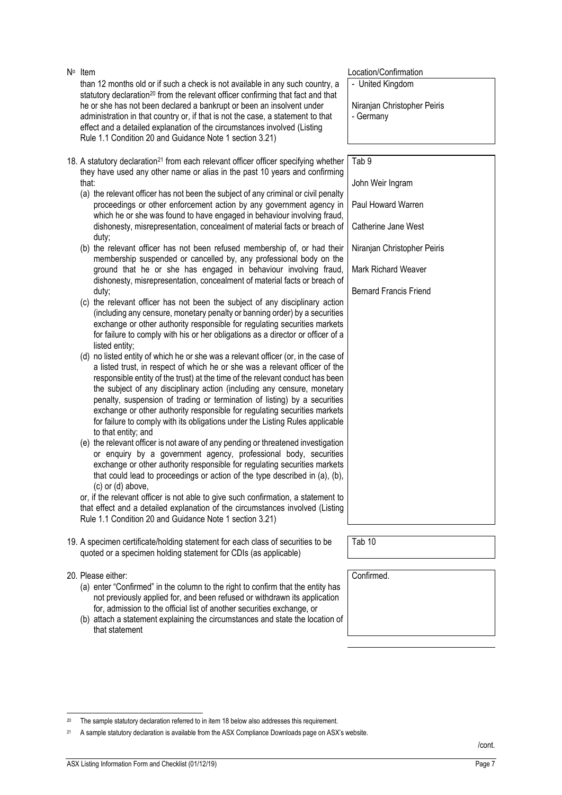statutory declaration<sup>20</sup> from the relevant officer confirming that fact and that he or she has not been declared a bankrupt or been an insolvent under administration in that country or, if that is not the case, a statement to that effect and a detailed explanation of the circumstances involved (Listing Rule 1.1 Condition 20 and Guidance Note 1 section 3.21) - Germany 18. A statutory declaration<sup>21</sup> from each relevant officer officer specifying whether they have used any other name or alias in the past 10 years and confirming (a) the relevant officer has not been the subject of any criminal or civil penalty proceedings or other enforcement action by any government agency in which he or she was found to have engaged in behaviour involving fraud, dishonesty, misrepresentation, concealment of material facts or breach of duty; (b) the relevant officer has not been refused membership of, or had their membership suspended or cancelled by, any professional body on the ground that he or she has engaged in behaviour involving fraud, dishonesty, misrepresentation, concealment of material facts or breach of (c) the relevant officer has not been the subject of any disciplinary action (including any censure, monetary penalty or banning order) by a securities exchange or other authority responsible for regulating securities markets for failure to comply with his or her obligations as a director or officer of a listed entity; (d) no listed entity of which he or she was a relevant officer (or, in the case of Tab 9

a listed trust, in respect of which he or she was a relevant officer of the responsible entity of the trust) at the time of the relevant conduct has been the subject of any disciplinary action (including any censure, monetary penalty, suspension of trading or termination of listing) by a securities exchange or other authority responsible for regulating securities markets for failure to comply with its obligations under the Listing Rules applicable to that entity; and

than 12 months old or if such a check is not available in any such country, a

(e) the relevant officer is not aware of any pending or threatened investigation or enquiry by a government agency, professional body, securities exchange or other authority responsible for regulating securities markets that could lead to proceedings or action of the type described in (a), (b), (c) or (d) above,

or, if the relevant officer is not able to give such confirmation, a statement to that effect and a detailed explanation of the circumstances involved (Listing Rule 1.1 Condition 20 and Guidance Note 1 section 3.21)

- 19. A specimen certificate/holding statement for each class of securities to be quoted or a specimen holding statement for CDIs (as applicable)
- 20. Please either:

1

N<sup>o</sup> Item

<span id="page-7-0"></span>that:

duty;

- (a) enter "Confirmed" in the column to the right to confirm that the entity has not previously applied for, and been refused or withdrawn its application for, admission to the official list of another securities exchange, or
- (b) attach a statement explaining the circumstances and state the location of that statement

The sample statutory declaration referred to in item [18](#page-7-0) below also addresses this requirement.

Location/Confirmation

- United Kingdom

Niranjan Christopher Peiris

| Tab <sub>9</sub>              |
|-------------------------------|
| John Weir Ingram              |
| Paul Howard Warren            |
| Catherine Jane West           |
| Niranjan Christopher Peiris   |
| Mark Richard Weaver           |
| <b>Bernard Francis Friend</b> |
|                               |
|                               |
|                               |
|                               |
|                               |
|                               |
|                               |
|                               |
|                               |
|                               |
|                               |

Tab 10

Confirmed.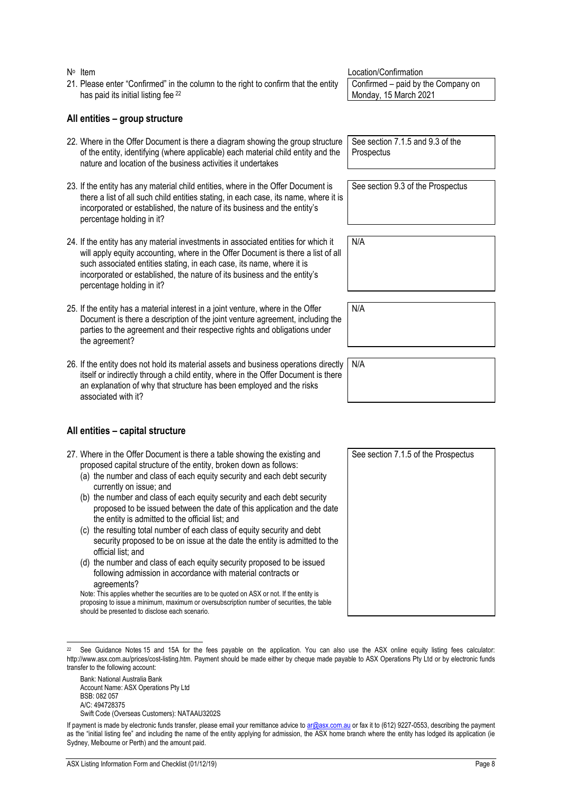- N<sup>o</sup> Item Location/Confirmation 21. Please enter "Confirmed" in the column to the right to confirm that the entity has paid its initial listing fee <sup>22</sup> Confirmed – paid by the Company on Monday, 15 March 2021 **All entities – group structure** 22. Where in the Offer Document is there a diagram showing the group structure of the entity, identifying (where applicable) each material child entity and the nature and location of the business activities it undertakes **Prospectus**
- 23. If the entity has any material child entities, where in the Offer Document is there a list of all such child entities stating, in each case, its name, where it is incorporated or established, the nature of its business and the entity's percentage holding in it?
- 24. If the entity has any material investments in associated entities for which it will apply equity accounting, where in the Offer Document is there a list of all such associated entities stating, in each case, its name, where it is incorporated or established, the nature of its business and the entity's percentage holding in it?
- 25. If the entity has a material interest in a joint venture, where in the Offer Document is there a description of the joint venture agreement, including the parties to the agreement and their respective rights and obligations under the agreement?
- 26. If the entity does not hold its material assets and business operations directly itself or indirectly through a child entity, where in the Offer Document is there an explanation of why that structure has been employed and the risks associated with it?

### **All entities – capital structure**

- <span id="page-8-0"></span>27. Where in the Offer Document is there a table showing the existing and proposed capital structure of the entity, broken down as follows:
	- (a) the number and class of each equity security and each debt security currently on issue; and
	- (b) the number and class of each equity security and each debt security proposed to be issued between the date of this application and the date the entity is admitted to the official list; and
	- (c) the resulting total number of each class of equity security and debt security proposed to be on issue at the date the entity is admitted to the official list; and
	- (d) the number and class of each equity security proposed to be issued following admission in accordance with material contracts or agreements?

Note: This applies whether the securities are to be quoted on ASX or not. If the entity is proposing to issue a minimum, maximum or oversubscription number of securities, the table should be presented to disclose each scenario.

Bank: National Australia Bank Account Name: ASX Operations Pty Ltd BSB: 082 057 A/C: 494728375 Swift Code (Overseas Customers): NATAAU3202S See section 7.1.5 and 9.3 of the

See section 9.3 of the Prospectus

N/A

N/A

N/A

See section 7.1.5 of the Prospectus

j  $22$  See Guidance Notes 15 and 15A for the fees payable on the application. You can also use the ASX online equity listing fees calculator: http://www.asx.com.au/prices/cost-listing.htm. Payment should be made either by cheque made payable to ASX Operations Pty Ltd or by electronic funds transfer to the following account:

If payment is made by electronic funds transfer, please email your remittance advice t[o ar@asx.com.au](mailto:ar@asx.com.au) or fax it to (612) 9227-0553, describing the payment as the "initial listing fee" and including the name of the entity applying for admission, the ASX home branch where the entity has lodged its application (ie Sydney, Melbourne or Perth) and the amount paid.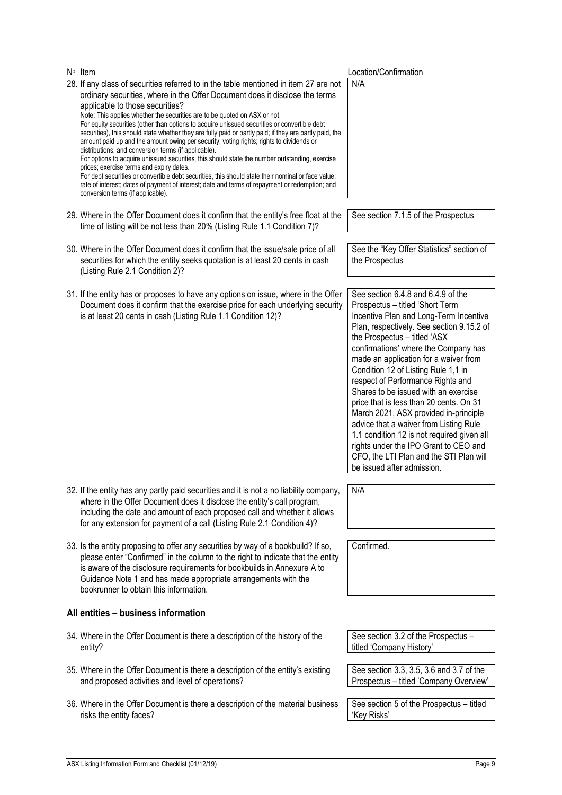| $N^{\circ}$ Item |                                                                                                                                                                                                                                                                                                                                                                                                                                                                                                                                                                                                                                                                                                                                                                                                                                                                                                                                                                                                                                              | Location/Confirmation                                                                                                                                                                                                                                                                                                                                                                                                                                                                                                                                                                                                                                                                           |
|------------------|----------------------------------------------------------------------------------------------------------------------------------------------------------------------------------------------------------------------------------------------------------------------------------------------------------------------------------------------------------------------------------------------------------------------------------------------------------------------------------------------------------------------------------------------------------------------------------------------------------------------------------------------------------------------------------------------------------------------------------------------------------------------------------------------------------------------------------------------------------------------------------------------------------------------------------------------------------------------------------------------------------------------------------------------|-------------------------------------------------------------------------------------------------------------------------------------------------------------------------------------------------------------------------------------------------------------------------------------------------------------------------------------------------------------------------------------------------------------------------------------------------------------------------------------------------------------------------------------------------------------------------------------------------------------------------------------------------------------------------------------------------|
|                  | 28. If any class of securities referred to in the table mentioned in item 27 are not<br>ordinary securities, where in the Offer Document does it disclose the terms<br>applicable to those securities?<br>Note: This applies whether the securities are to be quoted on ASX or not.<br>For equity securities (other than options to acquire unissued securities or convertible debt<br>securities), this should state whether they are fully paid or partly paid; if they are partly paid, the<br>amount paid up and the amount owing per security; voting rights; rights to dividends or<br>distributions; and conversion terms (if applicable).<br>For options to acquire unissued securities, this should state the number outstanding, exercise<br>prices; exercise terms and expiry dates.<br>For debt securities or convertible debt securities, this should state their nominal or face value;<br>rate of interest; dates of payment of interest; date and terms of repayment or redemption; and<br>conversion terms (if applicable). | N/A                                                                                                                                                                                                                                                                                                                                                                                                                                                                                                                                                                                                                                                                                             |
|                  | 29. Where in the Offer Document does it confirm that the entity's free float at the<br>time of listing will be not less than 20% (Listing Rule 1.1 Condition 7)?                                                                                                                                                                                                                                                                                                                                                                                                                                                                                                                                                                                                                                                                                                                                                                                                                                                                             | See section 7.1.5 of the Prospectus                                                                                                                                                                                                                                                                                                                                                                                                                                                                                                                                                                                                                                                             |
|                  | 30. Where in the Offer Document does it confirm that the issue/sale price of all<br>securities for which the entity seeks quotation is at least 20 cents in cash<br>(Listing Rule 2.1 Condition 2)?                                                                                                                                                                                                                                                                                                                                                                                                                                                                                                                                                                                                                                                                                                                                                                                                                                          | See the "Key Offer Statistics" section of<br>the Prospectus                                                                                                                                                                                                                                                                                                                                                                                                                                                                                                                                                                                                                                     |
|                  | 31. If the entity has or proposes to have any options on issue, where in the Offer<br>Document does it confirm that the exercise price for each underlying security<br>is at least 20 cents in cash (Listing Rule 1.1 Condition 12)?                                                                                                                                                                                                                                                                                                                                                                                                                                                                                                                                                                                                                                                                                                                                                                                                         | See section 6.4.8 and 6.4.9 of the<br>Prospectus - titled 'Short Term<br>Incentive Plan and Long-Term Incentive<br>Plan, respectively. See section 9.15.2 of<br>the Prospectus - titled 'ASX<br>confirmations' where the Company has<br>made an application for a waiver from<br>Condition 12 of Listing Rule 1,1 in<br>respect of Performance Rights and<br>Shares to be issued with an exercise<br>price that is less than 20 cents. On 31<br>March 2021, ASX provided in-principle<br>advice that a waiver from Listing Rule<br>1.1 condition 12 is not required given all<br>rights under the IPO Grant to CEO and<br>CFO, the LTI Plan and the STI Plan will<br>be issued after admission. |
|                  | 32. If the entity has any partly paid securities and it is not a no liability company,<br>where in the Offer Document does it disclose the entity's call program,<br>including the date and amount of each proposed call and whether it allows<br>for any extension for payment of a call (Listing Rule 2.1 Condition 4)?                                                                                                                                                                                                                                                                                                                                                                                                                                                                                                                                                                                                                                                                                                                    | N/A                                                                                                                                                                                                                                                                                                                                                                                                                                                                                                                                                                                                                                                                                             |
|                  | 33. Is the entity proposing to offer any securities by way of a bookbuild? If so,<br>please enter "Confirmed" in the column to the right to indicate that the entity<br>is aware of the disclosure requirements for bookbuilds in Annexure A to<br>Guidance Note 1 and has made appropriate arrangements with the<br>bookrunner to obtain this information.                                                                                                                                                                                                                                                                                                                                                                                                                                                                                                                                                                                                                                                                                  | Confirmed.                                                                                                                                                                                                                                                                                                                                                                                                                                                                                                                                                                                                                                                                                      |
|                  | All entities - business information                                                                                                                                                                                                                                                                                                                                                                                                                                                                                                                                                                                                                                                                                                                                                                                                                                                                                                                                                                                                          |                                                                                                                                                                                                                                                                                                                                                                                                                                                                                                                                                                                                                                                                                                 |
|                  | 34. Where in the Offer Document is there a description of the history of the<br>entity?                                                                                                                                                                                                                                                                                                                                                                                                                                                                                                                                                                                                                                                                                                                                                                                                                                                                                                                                                      | See section 3.2 of the Prospectus -<br>titled 'Company History'                                                                                                                                                                                                                                                                                                                                                                                                                                                                                                                                                                                                                                 |
|                  | 35. Where in the Offer Document is there a description of the entity's existing<br>and proposed activities and level of operations?                                                                                                                                                                                                                                                                                                                                                                                                                                                                                                                                                                                                                                                                                                                                                                                                                                                                                                          | See section 3.3, 3.5, 3.6 and 3.7 of the<br>Prospectus - titled 'Company Overview'                                                                                                                                                                                                                                                                                                                                                                                                                                                                                                                                                                                                              |
|                  | 36. Where in the Offer Document is there a description of the material business<br>risks the entity faces?                                                                                                                                                                                                                                                                                                                                                                                                                                                                                                                                                                                                                                                                                                                                                                                                                                                                                                                                   | See section 5 of the Prospectus - titled<br>'Key Risks'                                                                                                                                                                                                                                                                                                                                                                                                                                                                                                                                                                                                                                         |
|                  |                                                                                                                                                                                                                                                                                                                                                                                                                                                                                                                                                                                                                                                                                                                                                                                                                                                                                                                                                                                                                                              |                                                                                                                                                                                                                                                                                                                                                                                                                                                                                                                                                                                                                                                                                                 |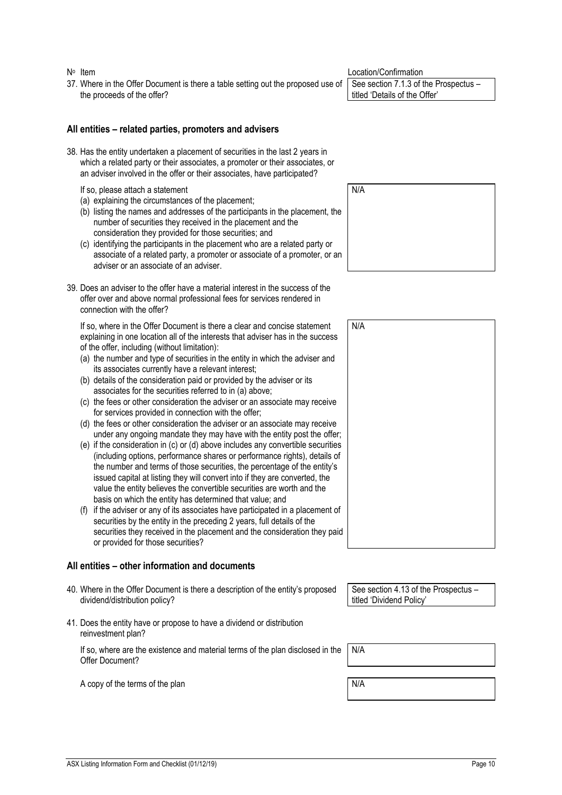N<sup>o</sup> Item

37. Where in the Offer Document is there a table setting out the proposed use of the proceeds of the offer?

### **All entities – related parties, promoters and advisers**

38. Has the entity undertaken a placement of securities in the last 2 years in which a related party or their associates, a promoter or their associates, or an adviser involved in the offer or their associates, have participated?

If so, please attach a statement

- (a) explaining the circumstances of the placement;
- (b) listing the names and addresses of the participants in the placement, the number of securities they received in the placement and the consideration they provided for those securities; and
- (c) identifying the participants in the placement who are a related party or associate of a related party, a promoter or associate of a promoter, or an adviser or an associate of an adviser.
- 39. Does an adviser to the offer have a material interest in the success of the offer over and above normal professional fees for services rendered in connection with the offer?

If so, where in the Offer Document is there a clear and concise statement explaining in one location all of the interests that adviser has in the success of the offer, including (without limitation):

- (a) the number and type of securities in the entity in which the adviser and its associates currently have a relevant interest;
- (b) details of the consideration paid or provided by the adviser or its associates for the securities referred to in (a) above;
- (c) the fees or other consideration the adviser or an associate may receive for services provided in connection with the offer;
- (d) the fees or other consideration the adviser or an associate may receive under any ongoing mandate they may have with the entity post the offer;
- (e) if the consideration in (c) or (d) above includes any convertible securities (including options, performance shares or performance rights), details of the number and terms of those securities, the percentage of the entity's issued capital at listing they will convert into if they are converted, the value the entity believes the convertible securities are worth and the basis on which the entity has determined that value; and
- (f) if the adviser or any of its associates have participated in a placement of securities by the entity in the preceding 2 years, full details of the securities they received in the placement and the consideration they pai or provided for those securities?

### **All entities – other information and documents**

- 40. Where in the Offer Document is there a description of the entity's proposed dividend/distribution policy?
- 41. Does the entity have or propose to have a dividend or distribution reinvestment plan?

If so, where are the existence and material terms of the plan disclosed in the Offer Document?

A copy of the terms of the plan N/A

Location/Confirmation

See section 7.1.3 of the Prospectus – titled 'Details of the Offer'

N/A

|              | N/A |  |
|--------------|-----|--|
|              |     |  |
|              |     |  |
|              |     |  |
|              |     |  |
|              |     |  |
|              |     |  |
| r;<br>s<br>f |     |  |
|              |     |  |
|              |     |  |
|              |     |  |
| f            |     |  |
| id           |     |  |
|              |     |  |

See section 4.13 of the Prospectus – titled 'Dividend Policy'

N/A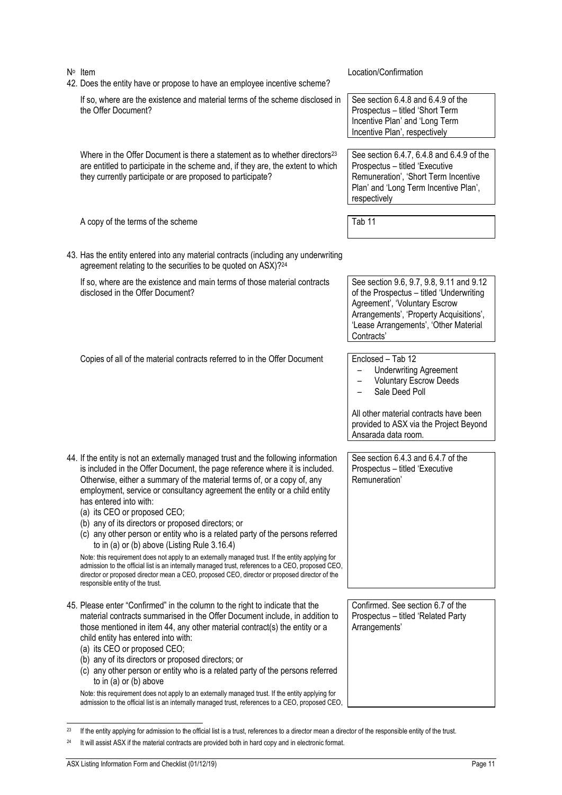| N° Item<br>42. Does the entity have or propose to have an employee incentive scheme?                                                                                                                                                                                                                                                                                                                                                                                                                                                                                                                                                                                                                                                                                                                                                                                                                                       | Location/Confirmation                                                                                                                                                                                                   |
|----------------------------------------------------------------------------------------------------------------------------------------------------------------------------------------------------------------------------------------------------------------------------------------------------------------------------------------------------------------------------------------------------------------------------------------------------------------------------------------------------------------------------------------------------------------------------------------------------------------------------------------------------------------------------------------------------------------------------------------------------------------------------------------------------------------------------------------------------------------------------------------------------------------------------|-------------------------------------------------------------------------------------------------------------------------------------------------------------------------------------------------------------------------|
| If so, where are the existence and material terms of the scheme disclosed in<br>the Offer Document?                                                                                                                                                                                                                                                                                                                                                                                                                                                                                                                                                                                                                                                                                                                                                                                                                        | See section 6.4.8 and 6.4.9 of the<br>Prospectus - titled 'Short Term<br>Incentive Plan' and 'Long Term<br>Incentive Plan', respectively                                                                                |
| Where in the Offer Document is there a statement as to whether directors <sup>23</sup><br>are entitled to participate in the scheme and, if they are, the extent to which<br>they currently participate or are proposed to participate?                                                                                                                                                                                                                                                                                                                                                                                                                                                                                                                                                                                                                                                                                    | See section 6.4.7, 6.4.8 and 6.4.9 of the<br>Prospectus - titled 'Executive<br>Remuneration', 'Short Term Incentive<br>Plan' and 'Long Term Incentive Plan',<br>respectively                                            |
| A copy of the terms of the scheme                                                                                                                                                                                                                                                                                                                                                                                                                                                                                                                                                                                                                                                                                                                                                                                                                                                                                          | Tab 11                                                                                                                                                                                                                  |
| 43. Has the entity entered into any material contracts (including any underwriting<br>agreement relating to the securities to be quoted on ASX)? <sup>24</sup>                                                                                                                                                                                                                                                                                                                                                                                                                                                                                                                                                                                                                                                                                                                                                             |                                                                                                                                                                                                                         |
| If so, where are the existence and main terms of those material contracts<br>disclosed in the Offer Document?                                                                                                                                                                                                                                                                                                                                                                                                                                                                                                                                                                                                                                                                                                                                                                                                              | See section 9.6, 9.7, 9.8, 9.11 and 9.12<br>of the Prospectus - titled 'Underwriting<br>Agreement', 'Voluntary Escrow<br>Arrangements', 'Property Acquisitions',<br>'Lease Arrangements', 'Other Material<br>Contracts' |
| Copies of all of the material contracts referred to in the Offer Document                                                                                                                                                                                                                                                                                                                                                                                                                                                                                                                                                                                                                                                                                                                                                                                                                                                  | Enclosed - Tab 12<br><b>Underwriting Agreement</b><br><b>Voluntary Escrow Deeds</b><br>Sale Deed Poll<br>All other material contracts have been<br>provided to ASX via the Project Beyond<br>Ansarada data room.        |
| 44. If the entity is not an externally managed trust and the following information<br>is included in the Offer Document, the page reference where it is included.<br>Otherwise, either a summary of the material terms of, or a copy of, any<br>employment, service or consultancy agreement the entity or a child entity<br>has entered into with:<br>(a) its CEO or proposed CEO;<br>(b) any of its directors or proposed directors; or<br>(c) any other person or entity who is a related party of the persons referred<br>to in (a) or (b) above (Listing Rule $3.16.4$ )<br>Note: this requirement does not apply to an externally managed trust. If the entity applying for<br>admission to the official list is an internally managed trust, references to a CEO, proposed CEO,<br>director or proposed director mean a CEO, proposed CEO, director or proposed director of the<br>responsible entity of the trust. | See section 6.4.3 and 6.4.7 of the<br>Prospectus - titled 'Executive<br>Remuneration'                                                                                                                                   |
| 45. Please enter "Confirmed" in the column to the right to indicate that the<br>material contracts summarised in the Offer Document include, in addition to<br>those mentioned in item 44, any other material contract(s) the entity or a<br>child entity has entered into with:<br>(a) its CEO or proposed CEO;<br>(b) any of its directors or proposed directors; or<br>(c) any other person or entity who is a related party of the persons referred<br>to in (a) or (b) above<br>Note: this requirement does not apply to an externally managed trust. If the entity applying for<br>admission to the official list is an internally managed trust, references to a CEO, proposed CEO,                                                                                                                                                                                                                                 | Confirmed. See section 6.7 of the<br>Prospectus - titled 'Related Party<br>Arrangements'                                                                                                                                |

<span id="page-11-0"></span>j  $^{23}$  If the entity applying for admission to the official list is a trust, references to a director mean a director of the responsible entity of the trust.

<sup>&</sup>lt;sup>24</sup> It will assist ASX if the material contracts are provided both in hard copy and in electronic format.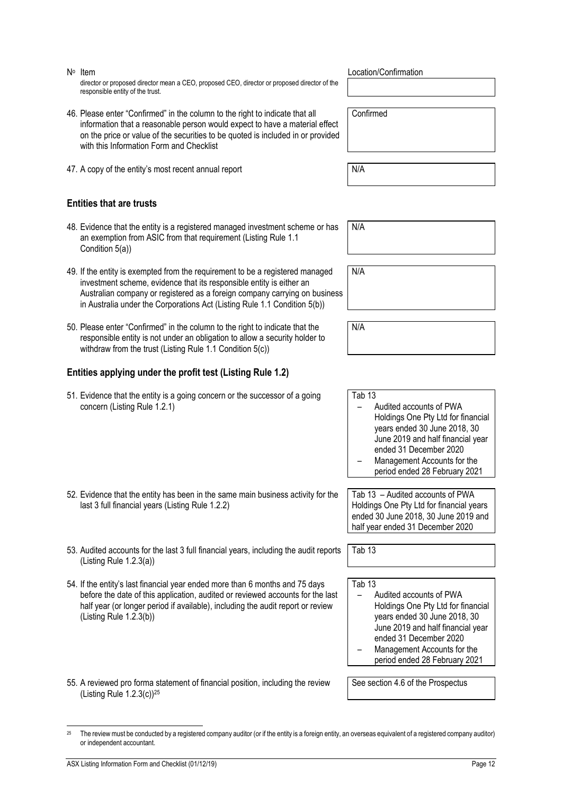or independent accountant.

j

N<sup>o</sup> Item

director or proposed director mean a CEO, proposed CEO, director or proposed director of the responsible entity of the trust.

- 46. Please enter "Confirmed" in the column to the right to indicate that all information that a reasonable person would expect to have a material effect on the price or value of the securities to be quoted is included in or provided with this Information Form and Checklist
- 47. A copy of the entity's most recent annual report N/A

### **Entities that are trusts**

- 48. Evidence that the entity is a registered managed investment scheme or has an exemption from ASIC from that requirement (Listing Rule 1.1 Condition 5(a))
- 49. If the entity is exempted from the requirement to be a registered managed investment scheme, evidence that its responsible entity is either an Australian company or registered as a foreign company carrying on business in Australia under the Corporations Act (Listing Rule 1.1 Condition 5(b))
- 50. Please enter "Confirmed" in the column to the right to indicate that the responsible entity is not under an obligation to allow a security holder to withdraw from the trust (Listing Rule 1.1 Condition 5(c))

### **Entities applying under the profit test (Listing Rule 1.2)**

- 51. Evidence that the entity is a going concern or the successor of a going concern (Listing Rule 1.2.1)
- 52. Evidence that the entity has been in the same main business activity for the last 3 full financial years (Listing Rule 1.2.2)
- 53. Audited accounts for the last 3 full financial years, including the audit reports (Listing Rule 1.2.3(a))
- 54. If the entity's last financial year ended more than 6 months and 75 days before the date of this application, audited or reviewed accounts for the last half year (or longer period if available), including the audit report or review (Listing Rule 1.2.3(b))
- 55. A reviewed pro forma statement of financial position, including the review (Listing Rule  $1.2.3(c)$ )<sup>25</sup>

<sup>25</sup> The review must be conducted by a registered company auditor (or if the entity is a foreign entity, an overseas equivalent of a registered company auditor)

### Location/Confirmation

Confirmed

N/A

N/A

| N/A |  |  |  |
|-----|--|--|--|
|     |  |  |  |
|     |  |  |  |

Tab 13 – Audited accounts of PWA Holdings One Pty Ltd for financial years ended 30 June 2018, 30 June 2019 and half financial year ended 31 December 2020 – Management Accounts for the period ended 28 February 2021

Tab 13 – Audited accounts of PWA Holdings One Pty Ltd for financial years ended 30 June 2018, 30 June 2019 and half year ended 31 December 2020

Tab 13

Tab 13

- Audited accounts of PWA Holdings One Pty Ltd for financial years ended 30 June 2018, 30 June 2019 and half financial year ended 31 December 2020
- Management Accounts for the period ended 28 February 2021

See section 4.6 of the Prospectus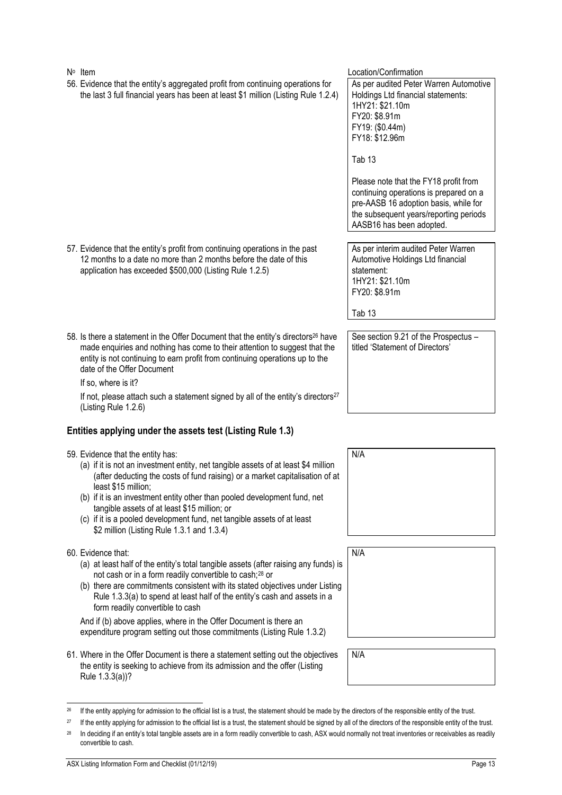N<sup>o</sup> Item Location/Confirmation 56. Evidence that the entity's aggregated profit from continuing operations for the last 3 full financial years has been at least \$1 million (Listing Rule 1.2.4) As per audited Peter Warren Automotive Holdings Ltd financial statements: 1HY21: \$21.10m FY20: \$8.91m FY19: (\$0.44m) FY18: \$12.96m Tab 13 Please note that the FY18 profit from continuing operations is prepared on a pre-AASB 16 adoption basis, while for the subsequent years/reporting periods AASB16 has been adopted. 57. Evidence that the entity's profit from continuing operations in the past 12 months to a date no more than 2 months before the date of this application has exceeded \$500,000 (Listing Rule 1.2.5) As per interim audited Peter Warren Automotive Holdings Ltd financial statement: 1HY21: \$21.10m FY20: \$8.91m Tab 13 58. Is there a statement in the Offer Document that the entity's directors<sup>26</sup> have made enquiries and nothing has come to their attention to suggest that the entity is not continuing to earn profit from continuing operations up to the date of the Offer Document If so, where is it? See section 9.21 of the Prospectus – titled 'Statement of Directors'

If not, please attach such a statement signed by all of the entity's directors $27$ (Listing Rule 1.2.6)

## **Entities applying under the assets test (Listing Rule 1.3)**

59. Evidence that the entity has:

- (a) if it is not an investment entity, net tangible assets of at least \$4 million (after deducting the costs of fund raising) or a market capitalisation of at least \$15 million;
- (b) if it is an investment entity other than pooled development fund, net tangible assets of at least \$15 million; or
- (c) if it is a pooled development fund, net tangible assets of at least \$2 million (Listing Rule 1.3.1 and 1.3.4)

### 60. Evidence that:

j

- (a) at least half of the entity's total tangible assets (after raising any funds) is not cash or in a form readily convertible to cash;<sup>28</sup> or
- (b) there are commitments consistent with its stated objectives under Listing Rule 1.3.3(a) to spend at least half of the entity's cash and assets in a form readily convertible to cash

And if (b) above applies, where in the Offer Document is there an expenditure program setting out those commitments (Listing Rule 1.3.2)

61. Where in the Offer Document is there a statement setting out the objectives the entity is seeking to achieve from its admission and the offer (Listing Rule 1.3.3(a))?



N/A

N/A

<sup>&</sup>lt;sup>26</sup> If the entity applying for admission to the official list is a trust, the statement should be made by the directors of the responsible entity of the trust.

<sup>&</sup>lt;sup>27</sup> If the entity applying for admission to the official list is a trust, the statement should be signed by all of the directors of the responsible entity of the trust.

<sup>&</sup>lt;sup>28</sup> In deciding if an entity's total tangible assets are in a form readily convertible to cash, ASX would normally not treat inventories or receivables as readily convertible to cash.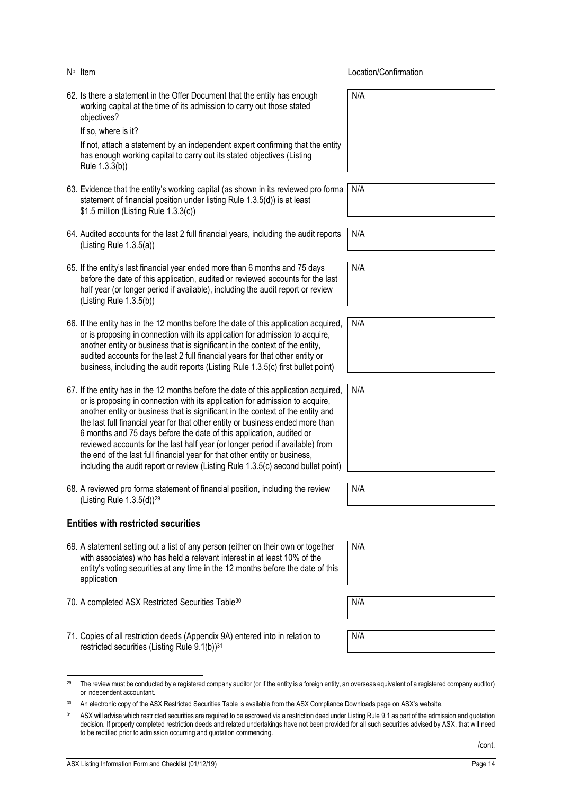| 62. Is there a statement in the Offer Document that the entity has enough<br>working capital at the time of its admission to carry out those stated<br>objectives?<br>If so, where is it?<br>If not, attach a statement by an independent expert confirming that the entity                                                                                                                                                                                                                                                                                                                                                                                          | N/A |
|----------------------------------------------------------------------------------------------------------------------------------------------------------------------------------------------------------------------------------------------------------------------------------------------------------------------------------------------------------------------------------------------------------------------------------------------------------------------------------------------------------------------------------------------------------------------------------------------------------------------------------------------------------------------|-----|
| has enough working capital to carry out its stated objectives (Listing<br>Rule 1.3.3(b))                                                                                                                                                                                                                                                                                                                                                                                                                                                                                                                                                                             |     |
| 63. Evidence that the entity's working capital (as shown in its reviewed pro forma<br>statement of financial position under listing Rule 1.3.5(d)) is at least<br>\$1.5 million (Listing Rule 1.3.3(c))                                                                                                                                                                                                                                                                                                                                                                                                                                                              | N/A |
| 64. Audited accounts for the last 2 full financial years, including the audit reports<br>(Listing Rule $1.3.5(a)$ )                                                                                                                                                                                                                                                                                                                                                                                                                                                                                                                                                  | N/A |
| 65. If the entity's last financial year ended more than 6 months and 75 days<br>before the date of this application, audited or reviewed accounts for the last<br>half year (or longer period if available), including the audit report or review<br>(Listing Rule 1.3.5(b))                                                                                                                                                                                                                                                                                                                                                                                         | N/A |
| 66. If the entity has in the 12 months before the date of this application acquired,<br>or is proposing in connection with its application for admission to acquire,<br>another entity or business that is significant in the context of the entity,<br>audited accounts for the last 2 full financial years for that other entity or<br>business, including the audit reports (Listing Rule 1.3.5(c) first bullet point)                                                                                                                                                                                                                                            | N/A |
| 67. If the entity has in the 12 months before the date of this application acquired,<br>or is proposing in connection with its application for admission to acquire,<br>another entity or business that is significant in the context of the entity and<br>the last full financial year for that other entity or business ended more than<br>6 months and 75 days before the date of this application, audited or<br>reviewed accounts for the last half year (or longer period if available) from<br>the end of the last full financial year for that other entity or business,<br>including the audit report or review (Listing Rule 1.3.5(c) second bullet point) | N/A |
| 68. A reviewed pro forma statement of financial position, including the review<br>(Listing Rule 1.3.5(d)) <sup>29</sup>                                                                                                                                                                                                                                                                                                                                                                                                                                                                                                                                              | N/A |
| <b>Entities with restricted securities</b>                                                                                                                                                                                                                                                                                                                                                                                                                                                                                                                                                                                                                           |     |
| 69. A statement setting out a list of any person (either on their own or together<br>with associates) who has held a relevant interest in at least 10% of the<br>entity's voting securities at any time in the 12 months before the date of this<br>application                                                                                                                                                                                                                                                                                                                                                                                                      | N/A |
| 70. A completed ASX Restricted Securities Table <sup>30</sup>                                                                                                                                                                                                                                                                                                                                                                                                                                                                                                                                                                                                        | N/A |

Location/Confirmation

<span id="page-14-0"></span>71. Copies of all restriction deeds (Appendix 9A) entered into in relation to restricted securities (Listing Rule 9.1(b))<sup>31</sup>

N/A

<span id="page-14-1"></span>N° Item

j <sup>29</sup> The review must be conducted by a registered company auditor (or if the entity is a foreign entity, an overseas equivalent of a registered company auditor) or independent accountant.

<sup>30</sup> An electronic copy of the ASX Restricted Securities Table is available from the ASX Compliance Downloads page on ASX's website.

<sup>&</sup>lt;sup>31</sup> ASX will advise which restricted securities are required to be escrowed via a restriction deed under Listing Rule 9.1 as part of the admission and quotation decision. If properly completed restriction deeds and related undertakings have not been provided for all such securities advised by ASX, that will need to be rectified prior to admission occurring and quotation commencing.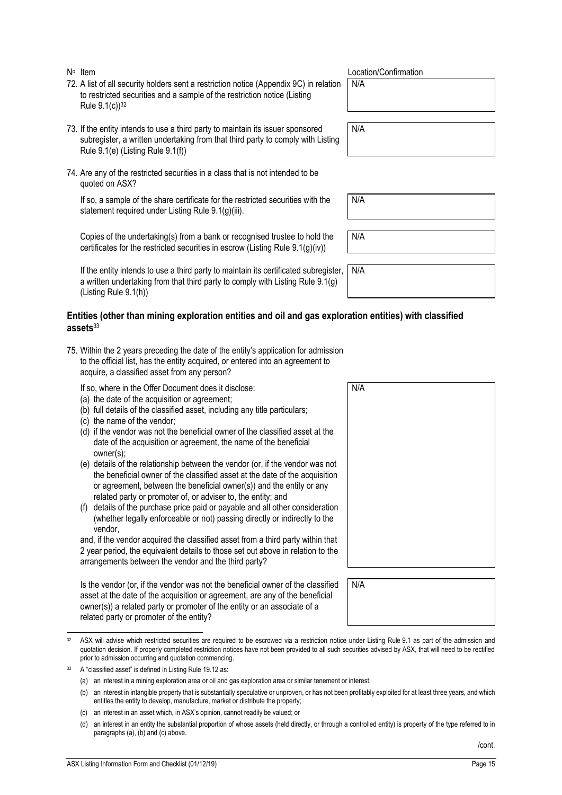N<sup>o</sup> Item

- 72. A list of all security holders sent a restriction notice (Appendix 9C) in relation to restricted securities and a sample of the restriction notice (Listing Rule  $9.1(c)$ <sup>32</sup>
- 73. If the entity intends to use a third party to maintain its issuer sponsored subregister, a written undertaking from that third party to comply with Listing Rule 9.1(e) (Listing Rule 9.1(f))
- 74. Are any of the restricted securities in a class that is not intended to be quoted on ASX?

If so, a sample of the share certificate for the restricted securities with the statement required under Listing Rule 9.1(g)(iii).

Copies of the undertaking(s) from a bank or recognised trustee to hold the certificates for the restricted securities in escrow (Listing Rule 9.1(g)(iv))

If the entity intends to use a third party to maintain its certificated subregister, a written undertaking from that third party to comply with Listing Rule 9.1(g) (Listing Rule 9.1(h)) N/A

### **Entities (other than mining exploration entities and oil and gas exploration entities) with classified assets**<sup>33</sup>

75. Within the 2 years preceding the date of the entity's application for admission to the official list, has the entity acquired, or entered into an agreement to acquire, a classified asset from any person?

If so, where in the Offer Document does it disclose:

- (a) the date of the acquisition or agreement;
- (b) full details of the classified asset, including any title particulars;
- (c) the name of the vendor;
- (d) if the vendor was not the beneficial owner of the classified asset at the date of the acquisition or agreement, the name of the beneficial owner(s);
- (e) details of the relationship between the vendor (or, if the vendor was not the beneficial owner of the classified asset at the date of the acquisition or agreement, between the beneficial owner(s)) and the entity or any related party or promoter of, or adviser to, the entity; and
- (f) details of the purchase price paid or payable and all other consideration (whether legally enforceable or not) passing directly or indirectly to the vendor,

and, if the vendor acquired the classified asset from a third party within that 2 year period, the equivalent details to those set out above in relation to the arrangements between the vendor and the third party?

Is the vendor (or, if the vendor was not the beneficial owner of the classified asset at the date of the acquisition or agreement, are any of the beneficial owner(s)) a related party or promoter of the entity or an associate of a related party or promoter of the entity?

| 32 ASX will advise which restricted securities are required to be escrowed via a restriction notice under Listing Rule 9.1 as part of the admission and    |
|------------------------------------------------------------------------------------------------------------------------------------------------------------|
| quotation decision. If properly completed restriction notices have not been provided to all such securities advised by ASX, that will need to be rectified |
| prior to admission occurring and quotation commencing.                                                                                                     |

<sup>33</sup> A "classified asset" is defined in Listing Rule 19.12 as:

j

- (c) an interest in an asset which, in ASX's opinion, cannot readily be valued; or
- (d) an interest in an entity the substantial proportion of whose assets (held directly, or through a controlled entity) is property of the type referred to in paragraphs (a), (b) and (c) above.

Location/Confirmation

N/A

N/A

N/A

N/A

| N/A |  |  |  |
|-----|--|--|--|
|     |  |  |  |
|     |  |  |  |
|     |  |  |  |
|     |  |  |  |
|     |  |  |  |
|     |  |  |  |

N/A

/cont.

<sup>(</sup>a) an interest in a mining exploration area or oil and gas exploration area or similar tenement or interest;

<sup>(</sup>b) an interest in intangible property that is substantially speculative or unproven, or has not been profitably exploited for at least three years, and which entitles the entity to develop, manufacture, market or distribute the property;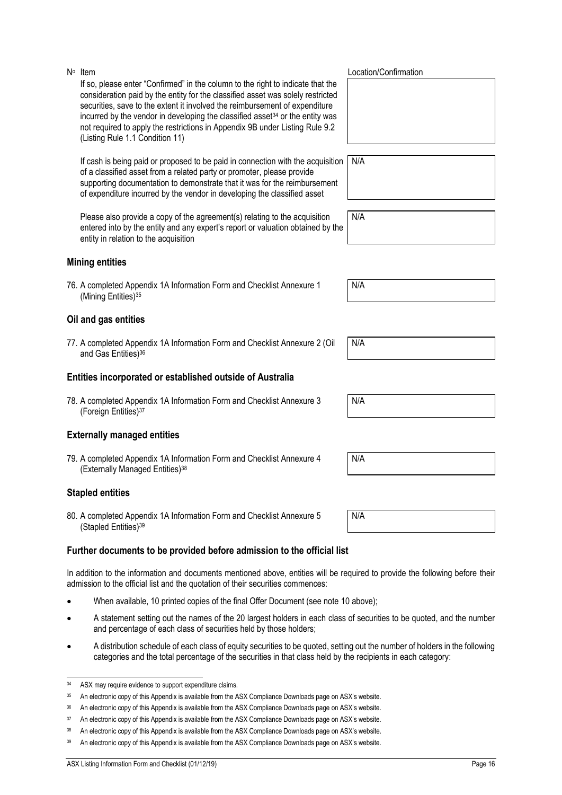If so, please enter "Confirmed" in the column to the right to indicate that the consideration paid by the entity for the classified asset was solely restricted securities, save to the extent it involved the reimbursement of expenditure incurred by the vendor in developing the classified asset<sup>34</sup> or the entity was not required to apply the restrictions in Appendix 9B under Listing Rule 9.2 (Listing Rule 1.1 Condition 11)

If cash is being paid or proposed to be paid in connection with the acquisition of a classified asset from a related party or promoter, please provide supporting documentation to demonstrate that it was for the reimbursement of expenditure incurred by the vendor in developing the classified asset

Please also provide a copy of the agreement(s) relating to the acquisition entered into by the entity and any expert's report or valuation obtained by the entity in relation to the acquisition

### **Mining entities**

N<sup>o</sup> Item

76. A completed Appendix 1A Information Form and Checklist Annexure 1 (Mining Entities)<sup>35</sup>

### **Oil and gas entities**

77. A completed Appendix 1A Information Form and Checklist Annexure 2 (Oil and Gas Entities)<sup>36</sup>

### **Entities incorporated or established outside of Australia**

78. A completed Appendix 1A Information Form and Checklist Annexure 3 (Foreign Entities)<sup>37</sup>

### **Externally managed entities**

79. A completed Appendix 1A Information Form and Checklist Annexure 4 (Externally Managed Entities)<sup>38</sup>

### **Stapled entities**

80. A completed Appendix 1A Information Form and Checklist Annexure 5 (Stapled Entities)<sup>39</sup>

### **Further documents to be provided before admission to the official list**

In addition to the information and documents mentioned above, entities will be required to provide the following before their admission to the official list and the quotation of their securities commences:

- When available, 10 printed copies of the final Offer Document (see note [10](#page-4-1) above);
- A statement setting out the names of the 20 largest holders in each class of securities to be quoted, and the number and percentage of each class of securities held by those holders;
- A distribution schedule of each class of equity securities to be quoted, setting out the number of holders in the following categories and the total percentage of the securities in that class held by the recipients in each category:

Location/Confirmation

N/A

| N/A |  |  |
|-----|--|--|
|     |  |  |
|     |  |  |

N/A

N/A

N/A

| N/A |  |  |  |
|-----|--|--|--|
|     |  |  |  |

N/A

j <sup>34</sup> ASX may require evidence to support expenditure claims.

<sup>35</sup> An electronic copy of this Appendix is available from the ASX Compliance Downloads page on ASX's website.

<sup>&</sup>lt;sup>36</sup> An electronic copy of this Appendix is available from the ASX Compliance Downloads page on ASX's website.

<sup>37</sup> An electronic copy of this Appendix is available from the ASX Compliance Downloads page on ASX's website.

<sup>38</sup> An electronic copy of this Appendix is available from the ASX Compliance Downloads page on ASX's website.

<sup>39</sup> An electronic copy of this Appendix is available from the ASX Compliance Downloads page on ASX's website.